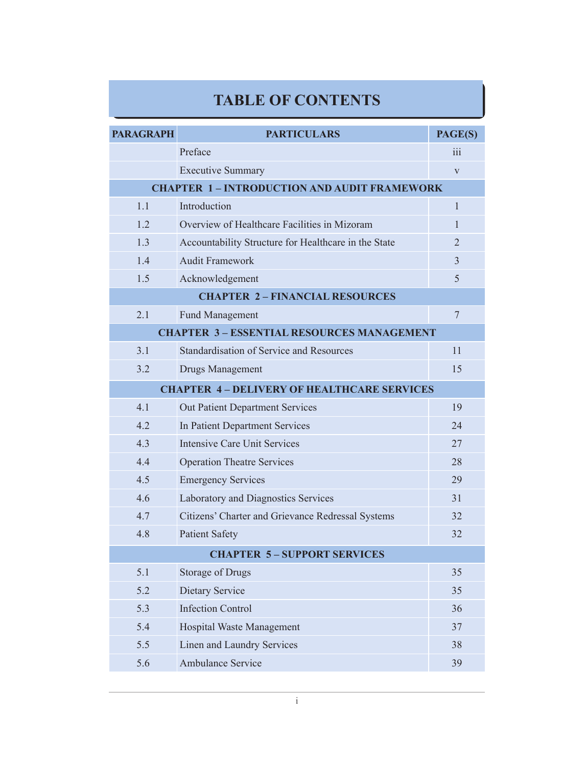## **TABLE OF CONTENTS**

| <b>PARAGRAPH</b>                                  | <b>PARTICULARS</b>                                   | PAGE(S)          |  |
|---------------------------------------------------|------------------------------------------------------|------------------|--|
|                                                   | Preface                                              | $\overline{111}$ |  |
|                                                   | <b>Executive Summary</b>                             | $\mathbf{V}$     |  |
| <b>CHAPTER 1-INTRODUCTION AND AUDIT FRAMEWORK</b> |                                                      |                  |  |
| 1.1                                               | Introduction                                         | $\mathbf{1}$     |  |
| 1.2                                               | Overview of Healthcare Facilities in Mizoram         | 1                |  |
| 1.3                                               | Accountability Structure for Healthcare in the State | $\overline{2}$   |  |
| 1.4                                               | <b>Audit Framework</b>                               | $\overline{3}$   |  |
| 1.5                                               | Acknowledgement                                      | 5                |  |
| <b>CHAPTER 2-FINANCIAL RESOURCES</b>              |                                                      |                  |  |
| 2.1                                               | <b>Fund Management</b>                               | $\overline{7}$   |  |
| <b>CHAPTER 3 - ESSENTIAL RESOURCES MANAGEMENT</b> |                                                      |                  |  |
| 3.1                                               | <b>Standardisation of Service and Resources</b>      | 11               |  |
| 3.2                                               | <b>Drugs Management</b>                              | 15               |  |
| <b>CHAPTER 4-DELIVERY OF HEALTHCARE SERVICES</b>  |                                                      |                  |  |
| 4.1                                               | <b>Out Patient Department Services</b>               | 19               |  |
| 4.2                                               | In Patient Department Services                       | 24               |  |
| 4.3                                               | <b>Intensive Care Unit Services</b>                  | 27               |  |
| 4.4                                               | <b>Operation Theatre Services</b>                    | 28               |  |
| 4.5                                               | <b>Emergency Services</b>                            | 29               |  |
| 4.6                                               | Laboratory and Diagnostics Services                  | 31               |  |
| 4.7                                               | Citizens' Charter and Grievance Redressal Systems    | 32               |  |
| 4.8                                               | <b>Patient Safety</b>                                | 32               |  |
| <b>CHAPTER 5-SUPPORT SERVICES</b>                 |                                                      |                  |  |
| 5.1                                               | <b>Storage of Drugs</b>                              | 35               |  |
| 5.2                                               | Dietary Service                                      | 35               |  |
| 5.3                                               | <b>Infection Control</b>                             | 36               |  |
| 5.4                                               | Hospital Waste Management                            | 37               |  |
| 5.5                                               | Linen and Laundry Services                           | 38               |  |
| 5.6                                               | <b>Ambulance Service</b>                             | 39               |  |